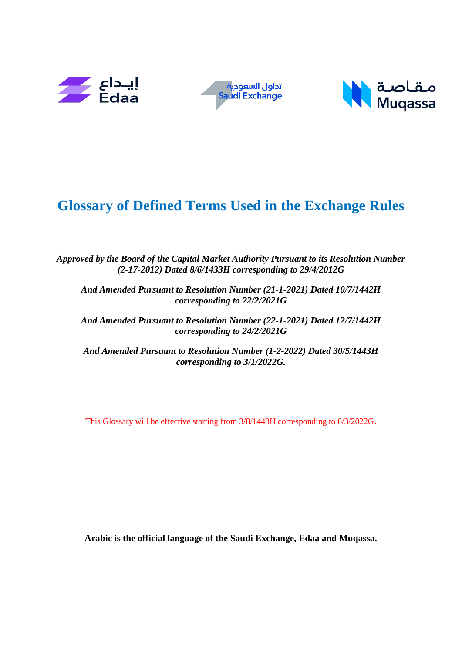





## **Glossary of Defined Terms Used in the Exchange Rules**

*Approved by the Board of the Capital Market Authority Pursuant to its Resolution Number (2-17-2012) Dated 8/6/1433H corresponding to 29/4/2012G*

*And Amended Pursuant to Resolution Number (21-1-2021) Dated 10/7/1442H corresponding to 22/2/2021G*

*And Amended Pursuant to Resolution Number (22-1-2021) Dated 12/7/1442H corresponding to 24/2/2021G*

*And Amended Pursuant to Resolution Number (1-2-2022) Dated 30/5/1443H corresponding to 3/1/2022G.*

This Glossary will be effective starting from 3/8/1443H corresponding to 6/3/2022G.

**Arabic is the official language of the Saudi Exchange, Edaa and Muqassa.**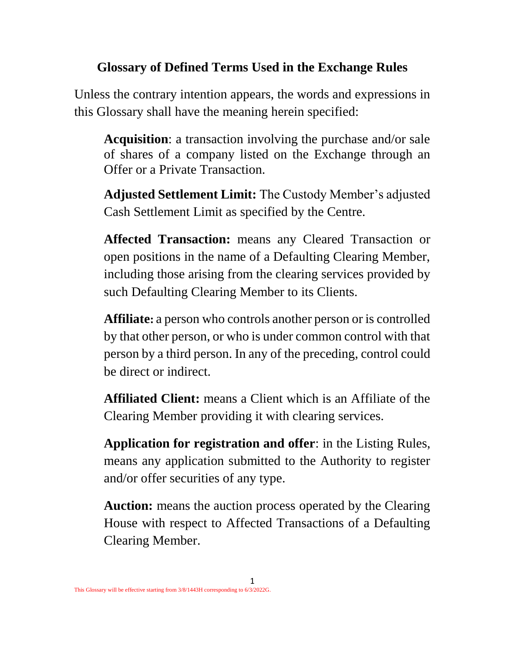## **Glossary of Defined Terms Used in the Exchange Rules**

Unless the contrary intention appears, the words and expressions in this Glossary shall have the meaning herein specified:

**Acquisition**: a transaction involving the purchase and/or sale of shares of a company listed on the Exchange through an Offer or a Private Transaction.

**Adjusted Settlement Limit:** The Custody Member's adjusted Cash Settlement Limit as specified by the Centre.

**Affected Transaction:** means any Cleared Transaction or open positions in the name of a Defaulting Clearing Member, including those arising from the clearing services provided by such Defaulting Clearing Member to its Clients.

**Affiliate:** a person who controls another person or is controlled by that other person, or who is under common control with that person by a third person. In any of the preceding, control could be direct or indirect.

**Affiliated Client:** means a Client which is an Affiliate of the Clearing Member providing it with clearing services.

**Application for registration and offer**: in the Listing Rules, means any application submitted to the Authority to register and/or offer securities of any type.

**Auction:** means the auction process operated by the Clearing House with respect to Affected Transactions of a Defaulting Clearing Member.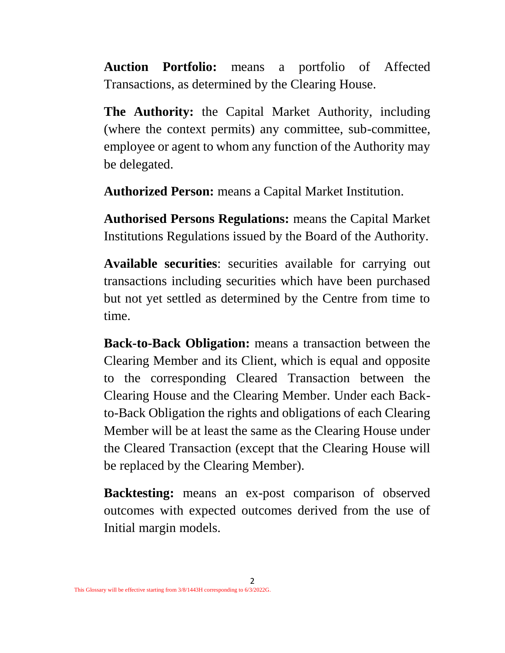**Auction Portfolio:** means a portfolio of Affected Transactions, as determined by the Clearing House.

**The Authority:** the Capital Market Authority, including (where the context permits) any committee, sub-committee, employee or agent to whom any function of the Authority may be delegated.

**Authorized Person:** means a Capital Market Institution.

**Authorised Persons Regulations:** means the Capital Market Institutions Regulations issued by the Board of the Authority.

**Available securities**: securities available for carrying out transactions including securities which have been purchased but not yet settled as determined by the Centre from time to time.

**Back-to-Back Obligation:** means a transaction between the Clearing Member and its Client, which is equal and opposite to the corresponding Cleared Transaction between the Clearing House and the Clearing Member. Under each Backto-Back Obligation the rights and obligations of each Clearing Member will be at least the same as the Clearing House under the Cleared Transaction (except that the Clearing House will be replaced by the Clearing Member).

**Backtesting:** means an ex-post comparison of observed outcomes with expected outcomes derived from the use of Initial margin models.

2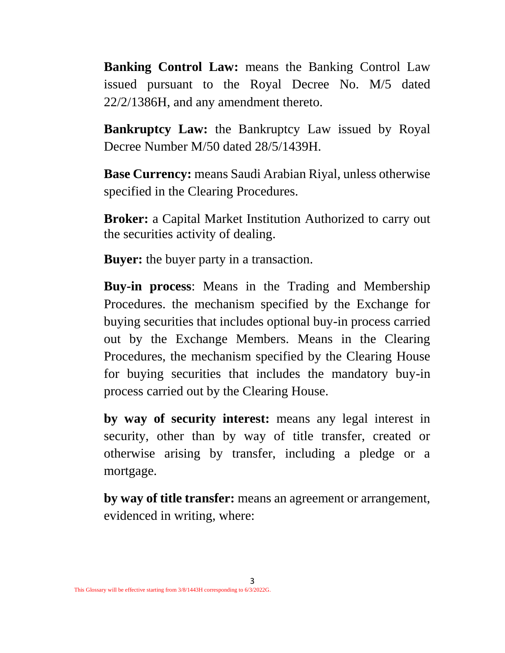**Banking Control Law:** means the Banking Control Law issued pursuant to the Royal Decree No. M/5 dated 22/2/1386H, and any amendment thereto.

**Bankruptcy Law:** the Bankruptcy Law issued by Royal Decree Number M/50 dated 28/5/1439H.

**Base Currency:** means Saudi Arabian Riyal, unless otherwise specified in the Clearing Procedures.

**Broker:** a Capital Market Institution Authorized to carry out the securities activity of dealing.

**Buyer:** the buyer party in a transaction.

**Buy-in process**: Means in the Trading and Membership Procedures. the mechanism specified by the Exchange for buying securities that includes optional buy-in process carried out by the Exchange Members. Means in the Clearing Procedures, the mechanism specified by the Clearing House for buying securities that includes the mandatory buy-in process carried out by the Clearing House.

**by way of security interest:** means any legal interest in security, other than by way of title transfer, created or otherwise arising by transfer, including a pledge or a mortgage.

**by way of title transfer:** means an agreement or arrangement, evidenced in writing, where: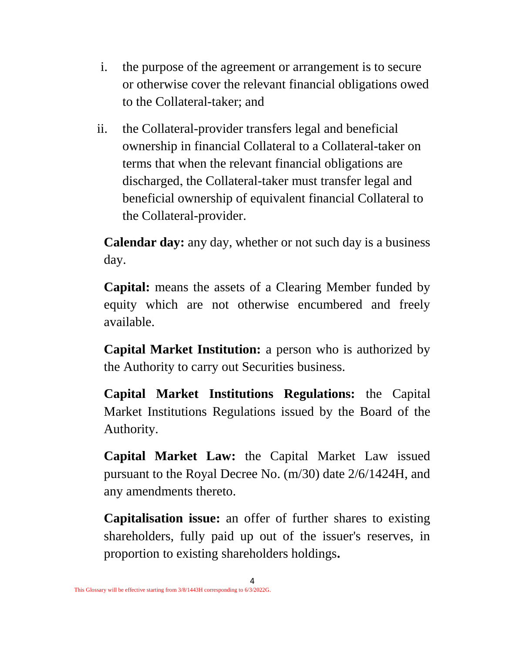- i. the purpose of the agreement or arrangement is to secure or otherwise cover the relevant financial obligations owed to the Collateral-taker; and
- ii. the Collateral-provider transfers legal and beneficial ownership in financial Collateral to a Collateral-taker on terms that when the relevant financial obligations are discharged, the Collateral-taker must transfer legal and beneficial ownership of equivalent financial Collateral to the Collateral-provider.

**Calendar day:** any day, whether or not such day is a business day.

**Capital:** means the assets of a Clearing Member funded by equity which are not otherwise encumbered and freely available.

**Capital Market Institution:** a person who is authorized by the Authority to carry out Securities business.

**Capital Market Institutions Regulations:** the Capital Market Institutions Regulations issued by the Board of the Authority.

**Capital Market Law:** the Capital Market Law issued pursuant to the Royal Decree No. (m/30) date 2/6/1424H, and any amendments thereto.

**Capitalisation issue:** an offer of further shares to existing shareholders, fully paid up out of the issuer's reserves, in proportion to existing shareholders holdings**.**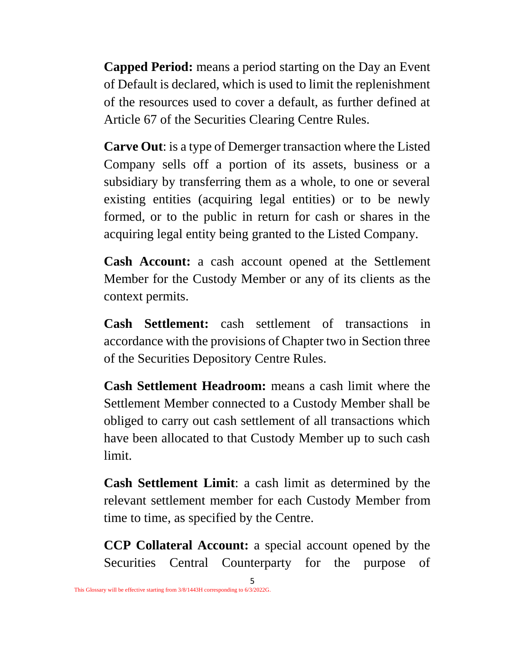**Capped Period:** means a period starting on the Day an Event of Default is declared, which is used to limit the replenishment of the resources used to cover a default, as further defined at Article 67 of the Securities Clearing Centre Rules.

**Carve Out**: is a type of Demerger transaction where the Listed Company sells off a portion of its assets, business or a subsidiary by transferring them as a whole, to one or several existing entities (acquiring legal entities) or to be newly formed, or to the public in return for cash or shares in the acquiring legal entity being granted to the Listed Company.

**Cash Account:** a cash account opened at the Settlement Member for the Custody Member or any of its clients as the context permits.

**Cash Settlement:** cash settlement of transactions in accordance with the provisions of Chapter two in Section three of the Securities Depository Centre Rules.

**Cash Settlement Headroom:** means a cash limit where the Settlement Member connected to a Custody Member shall be obliged to carry out cash settlement of all transactions which have been allocated to that Custody Member up to such cash limit.

**Cash Settlement Limit**: a cash limit as determined by the relevant settlement member for each Custody Member from time to time, as specified by the Centre.

**CCP Collateral Account:** a special account opened by the Securities Central Counterparty for the purpose of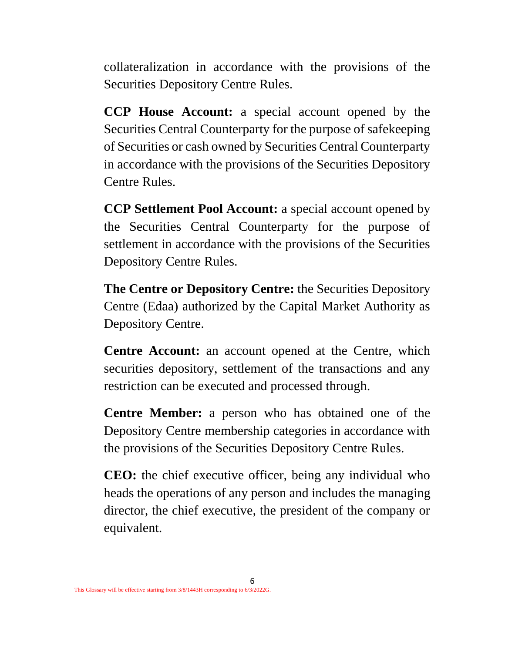collateralization in accordance with the provisions of the Securities Depository Centre Rules.

**CCP House Account:** a special account opened by the Securities Central Counterparty for the purpose of safekeeping of Securities or cash owned by Securities Central Counterparty in accordance with the provisions of the Securities Depository Centre Rules.

**CCP Settlement Pool Account:** a special account opened by the Securities Central Counterparty for the purpose of settlement in accordance with the provisions of the Securities Depository Centre Rules.

**The Centre or Depository Centre:** the Securities Depository Centre (Edaa) authorized by the Capital Market Authority as Depository Centre.

**Centre Account:** an account opened at the Centre, which securities depository, settlement of the transactions and any restriction can be executed and processed through.

**Centre Member:** a person who has obtained one of the Depository Centre membership categories in accordance with the provisions of the Securities Depository Centre Rules.

**CEO:** the chief executive officer, being any individual who heads the operations of any person and includes the managing director, the chief executive, the president of the company or equivalent.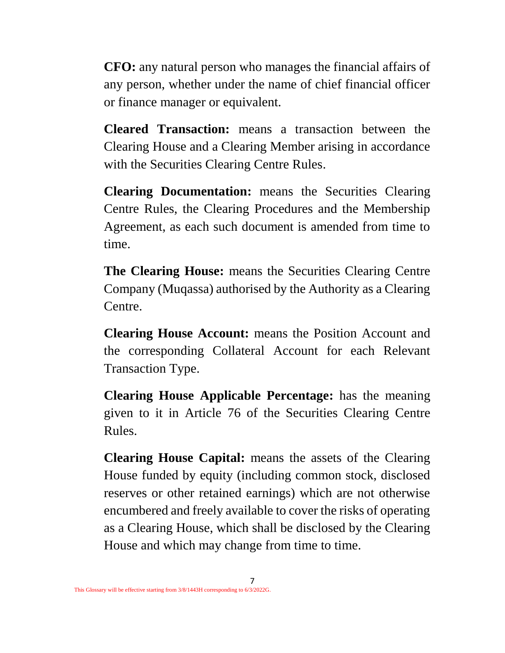**CFO:** any natural person who manages the financial affairs of any person, whether under the name of chief financial officer or finance manager or equivalent.

**Cleared Transaction:** means a transaction between the Clearing House and a Clearing Member arising in accordance with the Securities Clearing Centre Rules.

**Clearing Documentation:** means the Securities Clearing Centre Rules, the Clearing Procedures and the Membership Agreement, as each such document is amended from time to time.

**The Clearing House:** means the Securities Clearing Centre Company (Muqassa) authorised by the Authority as a Clearing Centre.

**Clearing House Account:** means the Position Account and the corresponding Collateral Account for each Relevant Transaction Type.

**Clearing House Applicable Percentage:** has the meaning given to it in Article 76 of the Securities Clearing Centre Rules.

**Clearing House Capital:** means the assets of the Clearing House funded by equity (including common stock, disclosed reserves or other retained earnings) which are not otherwise encumbered and freely available to cover the risks of operating as a Clearing House, which shall be disclosed by the Clearing House and which may change from time to time.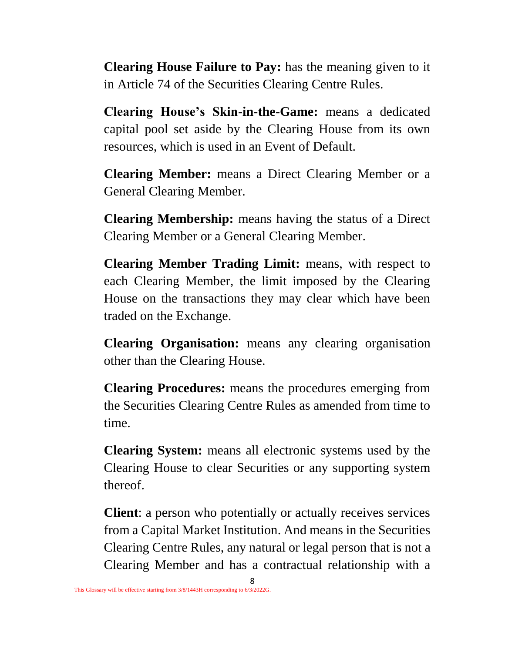**Clearing House Failure to Pay:** has the meaning given to it in Article 74 of the Securities Clearing Centre Rules.

**Clearing House's Skin-in-the-Game:** means a dedicated capital pool set aside by the Clearing House from its own resources, which is used in an Event of Default.

**Clearing Member:** means a Direct Clearing Member or a General Clearing Member.

**Clearing Membership:** means having the status of a Direct Clearing Member or a General Clearing Member.

**Clearing Member Trading Limit:** means, with respect to each Clearing Member, the limit imposed by the Clearing House on the transactions they may clear which have been traded on the Exchange.

**Clearing Organisation:** means any clearing organisation other than the Clearing House.

**Clearing Procedures:** means the procedures emerging from the Securities Clearing Centre Rules as amended from time to time.

**Clearing System:** means all electronic systems used by the Clearing House to clear Securities or any supporting system thereof.

**Client**: a person who potentially or actually receives services from a Capital Market Institution. And means in the Securities Clearing Centre Rules, any natural or legal person that is not a Clearing Member and has a contractual relationship with a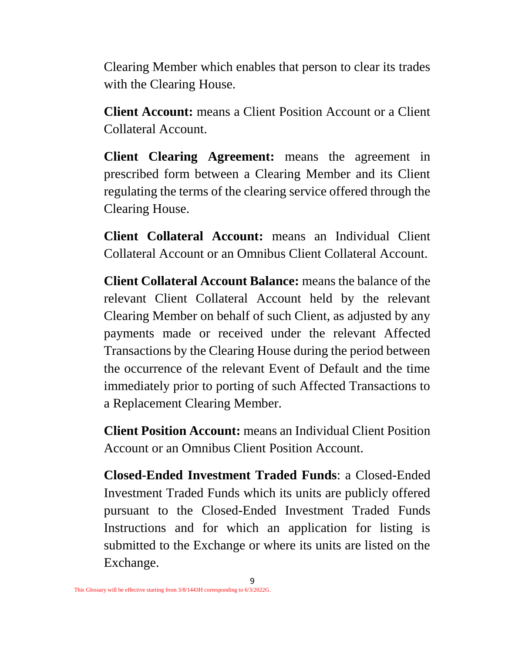Clearing Member which enables that person to clear its trades with the Clearing House.

**Client Account:** means a Client Position Account or a Client Collateral Account.

**Client Clearing Agreement:** means the agreement in prescribed form between a Clearing Member and its Client regulating the terms of the clearing service offered through the Clearing House.

**Client Collateral Account:** means an Individual Client Collateral Account or an Omnibus Client Collateral Account.

**Client Collateral Account Balance:** means the balance of the relevant Client Collateral Account held by the relevant Clearing Member on behalf of such Client, as adjusted by any payments made or received under the relevant Affected Transactions by the Clearing House during the period between the occurrence of the relevant Event of Default and the time immediately prior to porting of such Affected Transactions to a Replacement Clearing Member.

**Client Position Account:** means an Individual Client Position Account or an Omnibus Client Position Account.

**Closed-Ended Investment Traded Funds**: a Closed-Ended Investment Traded Funds which its units are publicly offered pursuant to the Closed-Ended Investment Traded Funds Instructions and for which an application for listing is submitted to the Exchange or where its units are listed on the Exchange.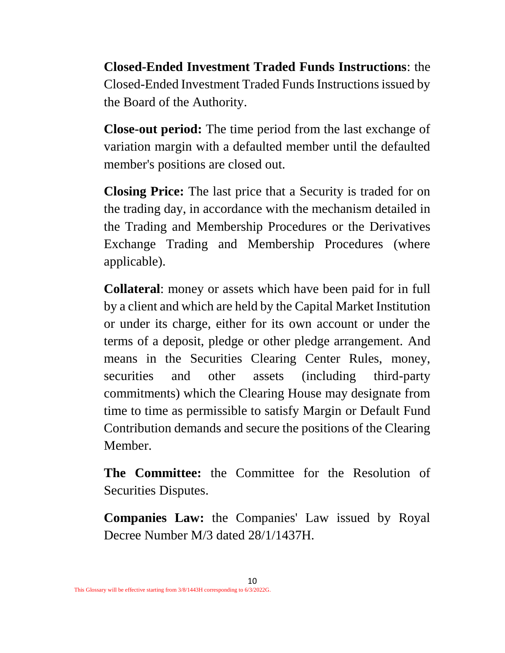**Closed-Ended Investment Traded Funds Instructions**: the Closed-Ended Investment Traded Funds Instructions issued by the Board of the Authority.

**Close-out period:** The time period from the last exchange of variation margin with a defaulted member until the defaulted member's positions are closed out.

**Closing Price:** The last price that a Security is traded for on the trading day, in accordance with the mechanism detailed in the Trading and Membership Procedures or the Derivatives Exchange Trading and Membership Procedures (where applicable).

**Collateral**: money or assets which have been paid for in full by a client and which are held by the Capital Market Institution or under its charge, either for its own account or under the terms of a deposit, pledge or other pledge arrangement. And means in the Securities Clearing Center Rules, money, securities and other assets (including third-party commitments) which the Clearing House may designate from time to time as permissible to satisfy Margin or Default Fund Contribution demands and secure the positions of the Clearing Member.

**The Committee:** the Committee for the Resolution of Securities Disputes.

**Companies Law:** the Companies' Law issued by Royal Decree Number M/3 dated 28/1/1437H.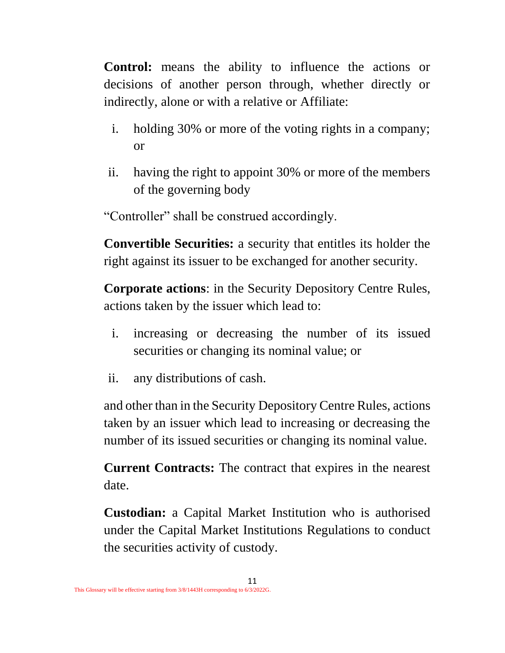**Control:** means the ability to influence the actions or decisions of another person through, whether directly or indirectly, alone or with a relative or Affiliate:

- i. holding 30% or more of the voting rights in a company; or
- ii. having the right to appoint 30% or more of the members of the governing body

"Controller" shall be construed accordingly.

**Convertible Securities:** a security that entitles its holder the right against its issuer to be exchanged for another security.

**Corporate actions**: in the Security Depository Centre Rules, actions taken by the issuer which lead to:

- i. increasing or decreasing the number of its issued securities or changing its nominal value; or
- ii. any distributions of cash.

and other than in the Security Depository Centre Rules, actions taken by an issuer which lead to increasing or decreasing the number of its issued securities or changing its nominal value.

**Current Contracts:** The contract that expires in the nearest date.

**Custodian:** a Capital Market Institution who is authorised under the Capital Market Institutions Regulations to conduct the securities activity of custody.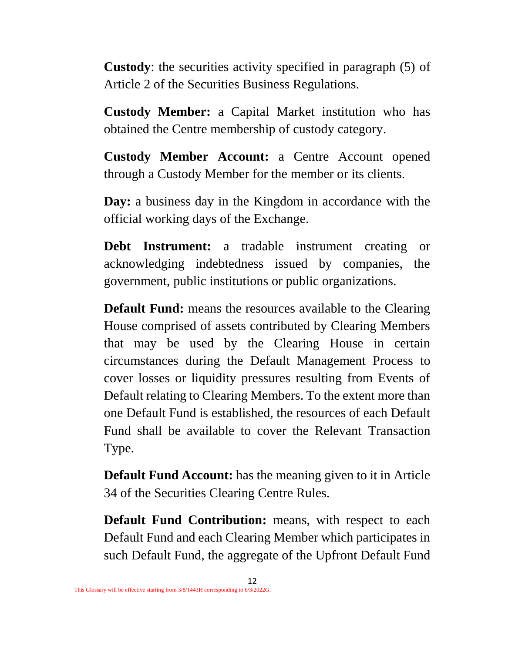**Custody**: the securities activity specified in paragraph (5) of Article 2 of the Securities Business Regulations.

**Custody Member:** a Capital Market institution who has obtained the Centre membership of custody category.

**Custody Member Account:** a Centre Account opened through a Custody Member for the member or its clients.

**Day:** a business day in the Kingdom in accordance with the official working days of the Exchange.

**Debt Instrument:** a tradable instrument creating or acknowledging indebtedness issued by companies, the government, public institutions or public organizations.

**Default Fund:** means the resources available to the Clearing House comprised of assets contributed by Clearing Members that may be used by the Clearing House in certain circumstances during the Default Management Process to cover losses or liquidity pressures resulting from Events of Default relating to Clearing Members. To the extent more than one Default Fund is established, the resources of each Default Fund shall be available to cover the Relevant Transaction Type.

**Default Fund Account:** has the meaning given to it in Article 34 of the Securities Clearing Centre Rules.

**Default Fund Contribution:** means, with respect to each Default Fund and each Clearing Member which participates in such Default Fund, the aggregate of the Upfront Default Fund

12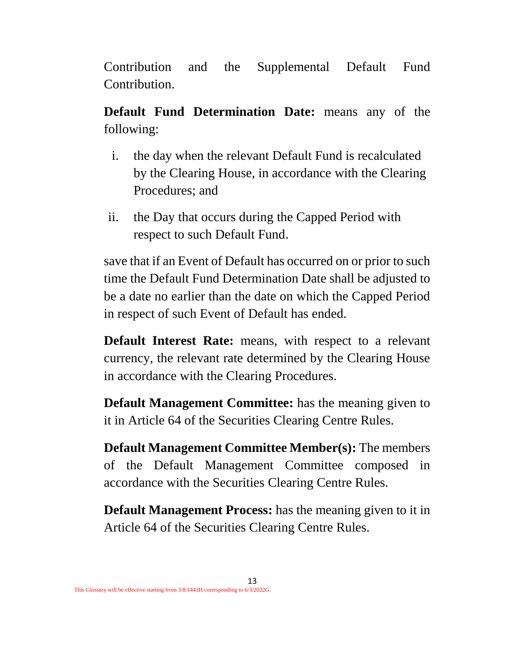Contribution and the Supplemental Default Fund Contribution.

**Default Fund Determination Date:** means any of the following:

- i. the day when the relevant Default Fund is recalculated by the Clearing House, in accordance with the Clearing Procedures; and
- ii. the Day that occurs during the Capped Period with respect to such Default Fund.

save that if an Event of Default has occurred on or prior to such time the Default Fund Determination Date shall be adjusted to be a date no earlier than the date on which the Capped Period in respect of such Event of Default has ended.

**Default Interest Rate:** means, with respect to a relevant currency, the relevant rate determined by the Clearing House in accordance with the Clearing Procedures.

**Default Management Committee:** has the meaning given to it in Article 64 of the Securities Clearing Centre Rules.

**Default Management Committee Member(s):** The members of the Default Management Committee composed in accordance with the Securities Clearing Centre Rules.

**Default Management Process:** has the meaning given to it in Article 64 of the Securities Clearing Centre Rules.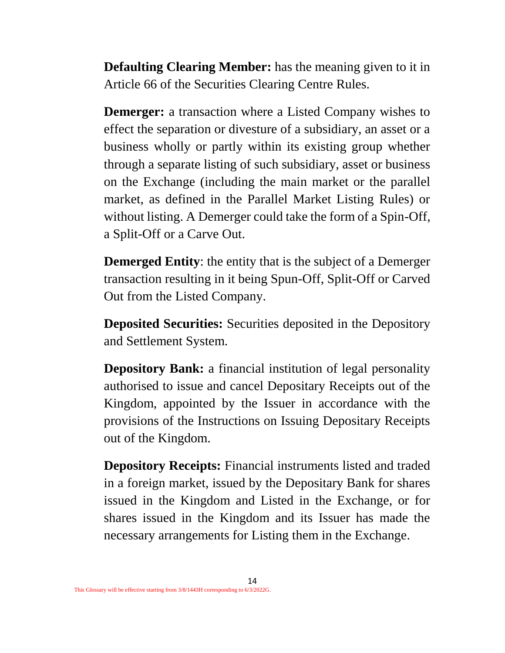**Defaulting Clearing Member:** has the meaning given to it in Article 66 of the Securities Clearing Centre Rules.

**Demerger:** a transaction where a Listed Company wishes to effect the separation or divesture of a subsidiary, an asset or a business wholly or partly within its existing group whether through a separate listing of such subsidiary, asset or business on the Exchange (including the main market or the parallel market, as defined in the Parallel Market Listing Rules) or without listing. A Demerger could take the form of a Spin-Off, a Split-Off or a Carve Out.

**Demerged Entity**: the entity that is the subject of a Demerger transaction resulting in it being Spun-Off, Split-Off or Carved Out from the Listed Company.

**Deposited Securities:** Securities deposited in the Depository and Settlement System.

**Depository Bank:** a financial institution of legal personality authorised to issue and cancel Depositary Receipts out of the Kingdom, appointed by the Issuer in accordance with the provisions of the Instructions on Issuing Depositary Receipts out of the Kingdom.

**Depository Receipts:** Financial instruments listed and traded in a foreign market, issued by the Depositary Bank for shares issued in the Kingdom and Listed in the Exchange, or for shares issued in the Kingdom and its Issuer has made the necessary arrangements for Listing them in the Exchange.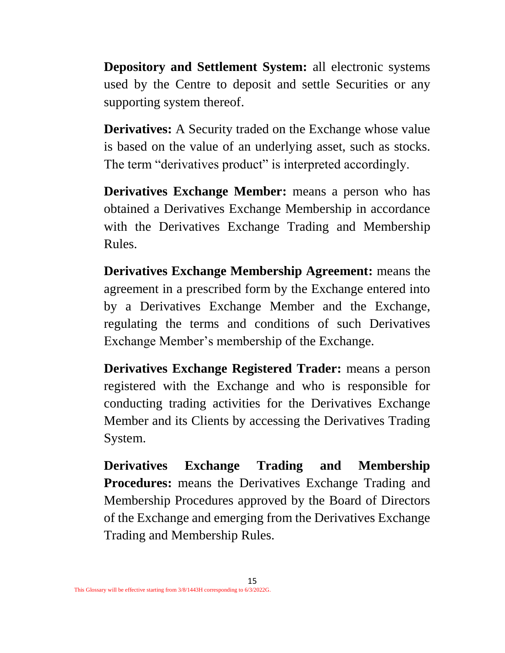**Depository and Settlement System:** all electronic systems used by the Centre to deposit and settle Securities or any supporting system thereof.

**Derivatives:** A Security traded on the Exchange whose value is based on the value of an underlying asset, such as stocks. The term "derivatives product" is interpreted accordingly.

**Derivatives Exchange Member:** means a person who has obtained a Derivatives Exchange Membership in accordance with the Derivatives Exchange Trading and Membership Rules.

**Derivatives Exchange Membership Agreement:** means the agreement in a prescribed form by the Exchange entered into by a Derivatives Exchange Member and the Exchange, regulating the terms and conditions of such Derivatives Exchange Member's membership of the Exchange.

**Derivatives Exchange Registered Trader:** means a person registered with the Exchange and who is responsible for conducting trading activities for the Derivatives Exchange Member and its Clients by accessing the Derivatives Trading System.

**Derivatives Exchange Trading and Membership Procedures:** means the Derivatives Exchange Trading and Membership Procedures approved by the Board of Directors of the Exchange and emerging from the Derivatives Exchange Trading and Membership Rules.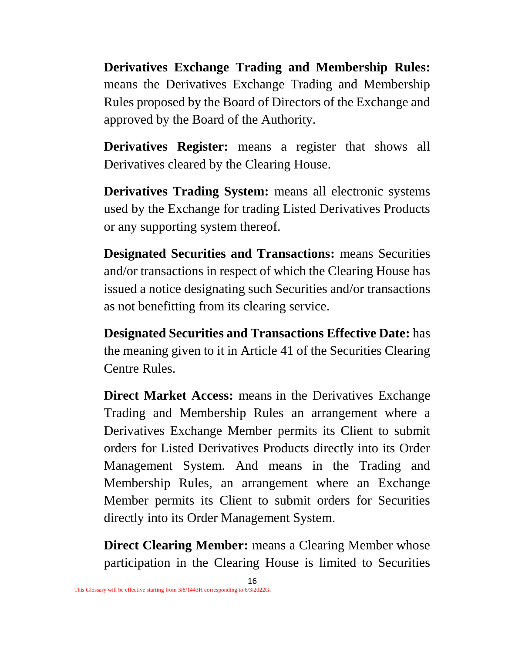**Derivatives Exchange Trading and Membership Rules:**  means the Derivatives Exchange Trading and Membership Rules proposed by the Board of Directors of the Exchange and approved by the Board of the Authority.

**Derivatives Register:** means a register that shows all Derivatives cleared by the Clearing House.

**Derivatives Trading System:** means all electronic systems used by the Exchange for trading Listed Derivatives Products or any supporting system thereof.

**Designated Securities and Transactions:** means Securities and/or transactions in respect of which the Clearing House has issued a notice designating such Securities and/or transactions as not benefitting from its clearing service.

**Designated Securities and Transactions Effective Date:** has the meaning given to it in Article 41 of the Securities Clearing Centre Rules.

**Direct Market Access:** means in the Derivatives Exchange Trading and Membership Rules an arrangement where a Derivatives Exchange Member permits its Client to submit orders for Listed Derivatives Products directly into its Order Management System. And means in the Trading and Membership Rules, an arrangement where an Exchange Member permits its Client to submit orders for Securities directly into its Order Management System.

**Direct Clearing Member:** means a Clearing Member whose participation in the Clearing House is limited to Securities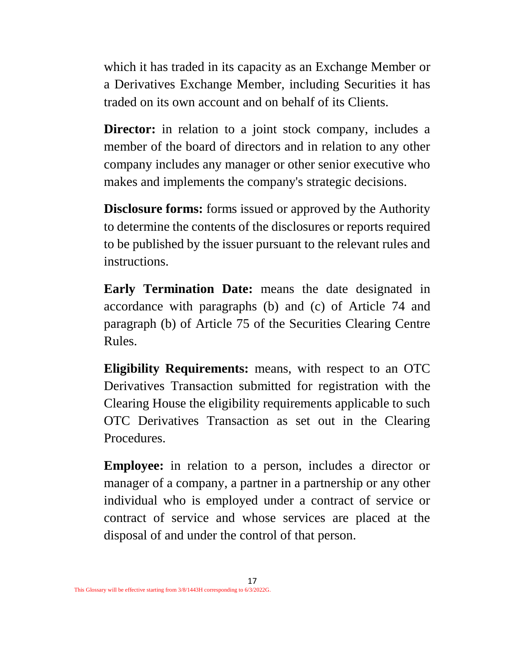which it has traded in its capacity as an Exchange Member or a Derivatives Exchange Member, including Securities it has traded on its own account and on behalf of its Clients.

**Director:** in relation to a joint stock company, includes a member of the board of directors and in relation to any other company includes any manager or other senior executive who makes and implements the company's strategic decisions.

**Disclosure forms:** forms issued or approved by the Authority to determine the contents of the disclosures or reports required to be published by the issuer pursuant to the relevant rules and instructions.

**Early Termination Date:** means the date designated in accordance with paragraphs (b) and (c) of Article 74 and paragraph (b) of Article 75 of the Securities Clearing Centre Rules.

**Eligibility Requirements:** means, with respect to an OTC Derivatives Transaction submitted for registration with the Clearing House the eligibility requirements applicable to such OTC Derivatives Transaction as set out in the Clearing Procedures.

**Employee:** in relation to a person, includes a director or manager of a company, a partner in a partnership or any other individual who is employed under a contract of service or contract of service and whose services are placed at the disposal of and under the control of that person.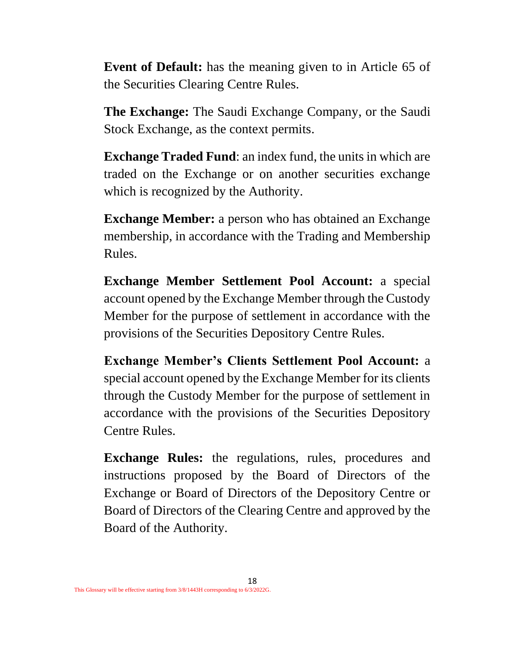**Event of Default:** has the meaning given to in Article 65 of the Securities Clearing Centre Rules.

**The Exchange:** The Saudi Exchange Company, or the Saudi Stock Exchange, as the context permits.

**Exchange Traded Fund**: an index fund, the units in which are traded on the Exchange or on another securities exchange which is recognized by the Authority.

**Exchange Member:** a person who has obtained an Exchange membership, in accordance with the Trading and Membership Rules.

**Exchange Member Settlement Pool Account:** a special account opened by the Exchange Member through the Custody Member for the purpose of settlement in accordance with the provisions of the Securities Depository Centre Rules.

**Exchange Member's Clients Settlement Pool Account:** a special account opened by the Exchange Member for its clients through the Custody Member for the purpose of settlement in accordance with the provisions of the Securities Depository Centre Rules.

**Exchange Rules:** the regulations, rules, procedures and instructions proposed by the Board of Directors of the Exchange or Board of Directors of the Depository Centre or Board of Directors of the Clearing Centre and approved by the Board of the Authority.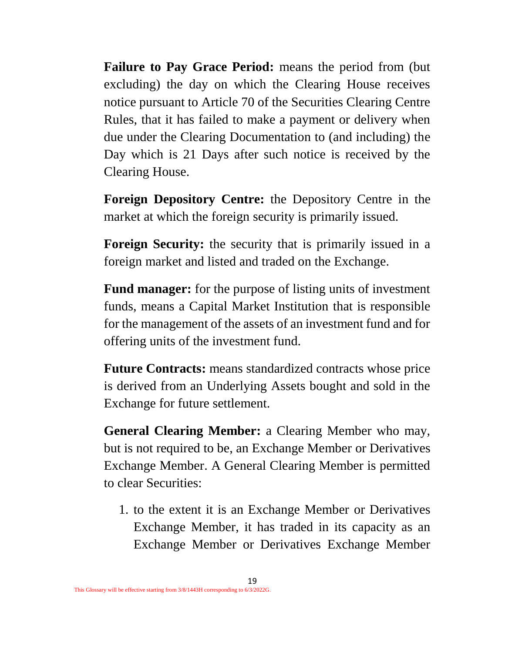**Failure to Pay Grace Period:** means the period from (but excluding) the day on which the Clearing House receives notice pursuant to Article 70 of the Securities Clearing Centre Rules, that it has failed to make a payment or delivery when due under the Clearing Documentation to (and including) the Day which is 21 Days after such notice is received by the Clearing House.

**Foreign Depository Centre:** the Depository Centre in the market at which the foreign security is primarily issued.

**Foreign Security:** the security that is primarily issued in a foreign market and listed and traded on the Exchange.

**Fund manager:** for the purpose of listing units of investment funds, means a Capital Market Institution that is responsible for the management of the assets of an investment fund and for offering units of the investment fund.

**Future Contracts:** means standardized contracts whose price is derived from an Underlying Assets bought and sold in the Exchange for future settlement.

**General Clearing Member:** a Clearing Member who may, but is not required to be, an Exchange Member or Derivatives Exchange Member. A General Clearing Member is permitted to clear Securities:

1. to the extent it is an Exchange Member or Derivatives Exchange Member, it has traded in its capacity as an Exchange Member or Derivatives Exchange Member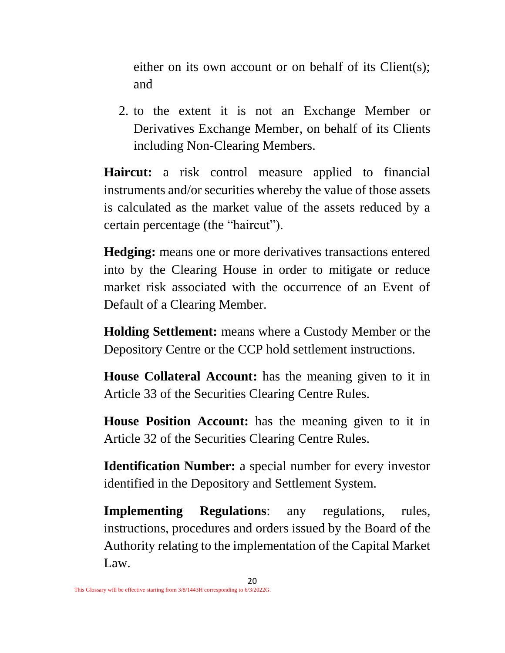either on its own account or on behalf of its Client(s); and

2. to the extent it is not an Exchange Member or Derivatives Exchange Member, on behalf of its Clients including Non-Clearing Members.

**Haircut:** a risk control measure applied to financial instruments and/or securities whereby the value of those assets is calculated as the market value of the assets reduced by a certain percentage (the "haircut").

**Hedging:** means one or more derivatives transactions entered into by the Clearing House in order to mitigate or reduce market risk associated with the occurrence of an Event of Default of a Clearing Member.

**Holding Settlement:** means where a Custody Member or the Depository Centre or the CCP hold settlement instructions.

**House Collateral Account:** has the meaning given to it in Article 33 of the Securities Clearing Centre Rules.

**House Position Account:** has the meaning given to it in Article 32 of the Securities Clearing Centre Rules.

**Identification Number:** a special number for every investor identified in the Depository and Settlement System.

**Implementing Regulations**: any regulations, rules, instructions, procedures and orders issued by the Board of the Authority relating to the implementation of the Capital Market Law.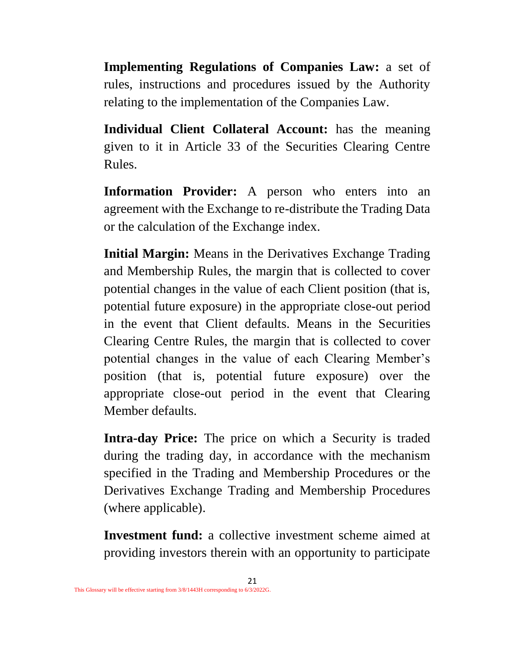**Implementing Regulations of Companies Law:** a set of rules, instructions and procedures issued by the Authority relating to the implementation of the Companies Law.

**Individual Client Collateral Account:** has the meaning given to it in Article 33 of the Securities Clearing Centre Rules.

**Information Provider:** A person who enters into an agreement with the Exchange to re-distribute the Trading Data or the calculation of the Exchange index.

**Initial Margin:** Means in the Derivatives Exchange Trading and Membership Rules, the margin that is collected to cover potential changes in the value of each Client position (that is, potential future exposure) in the appropriate close-out period in the event that Client defaults. Means in the Securities Clearing Centre Rules, the margin that is collected to cover potential changes in the value of each Clearing Member's position (that is, potential future exposure) over the appropriate close-out period in the event that Clearing Member defaults.

**Intra-day Price:** The price on which a Security is traded during the trading day, in accordance with the mechanism specified in the Trading and Membership Procedures or the Derivatives Exchange Trading and Membership Procedures (where applicable).

**Investment fund:** a collective investment scheme aimed at providing investors therein with an opportunity to participate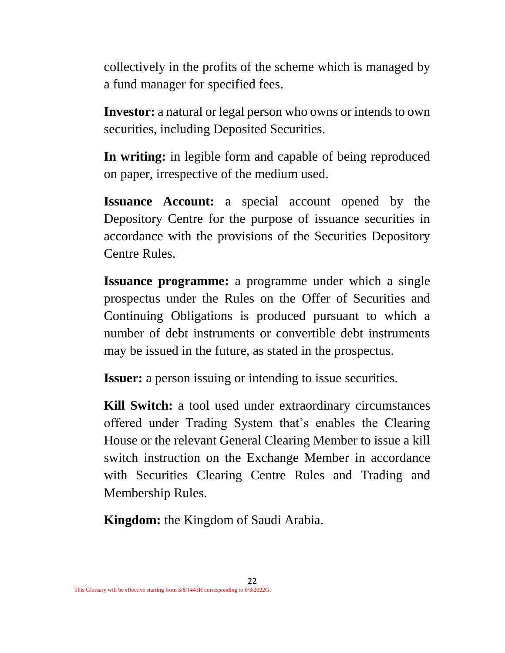collectively in the profits of the scheme which is managed by a fund manager for specified fees.

**Investor:** a natural or legal person who owns or intends to own securities, including Deposited Securities.

**In writing:** in legible form and capable of being reproduced on paper, irrespective of the medium used.

**Issuance Account:** a special account opened by the Depository Centre for the purpose of issuance securities in accordance with the provisions of the Securities Depository Centre Rules.

**Issuance programme:** a programme under which a single prospectus under the Rules on the Offer of Securities and Continuing Obligations is produced pursuant to which a number of debt instruments or convertible debt instruments may be issued in the future, as stated in the prospectus.

**Issuer:** a person issuing or intending to issue securities.

**Kill Switch:** a tool used under extraordinary circumstances offered under Trading System that's enables the Clearing House or the relevant General Clearing Member to issue a kill switch instruction on the Exchange Member in accordance with Securities Clearing Centre Rules and Trading and Membership Rules.

**Kingdom:** the Kingdom of Saudi Arabia.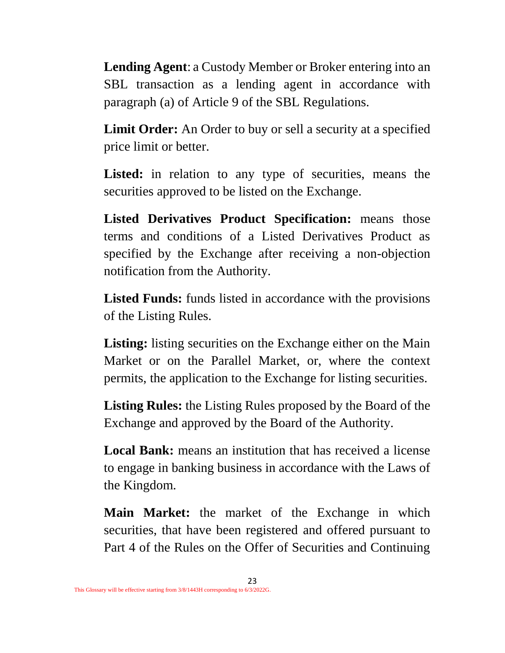**Lending Agent**: a Custody Member or Broker entering into an SBL transaction as a lending agent in accordance with paragraph (a) of Article 9 of the SBL Regulations.

**Limit Order:** An Order to buy or sell a security at a specified price limit or better.

Listed: in relation to any type of securities, means the securities approved to be listed on the Exchange.

**Listed Derivatives Product Specification:** means those terms and conditions of a Listed Derivatives Product as specified by the Exchange after receiving a non-objection notification from the Authority.

**Listed Funds:** funds listed in accordance with the provisions of the Listing Rules.

Listing: listing securities on the Exchange either on the Main Market or on the Parallel Market, or, where the context permits, the application to the Exchange for listing securities.

**Listing Rules:** the Listing Rules proposed by the Board of the Exchange and approved by the Board of the Authority.

**Local Bank:** means an institution that has received a license to engage in banking business in accordance with the Laws of the Kingdom.

**Main Market:** the market of the Exchange in which securities, that have been registered and offered pursuant to Part 4 of the Rules on the Offer of Securities and Continuing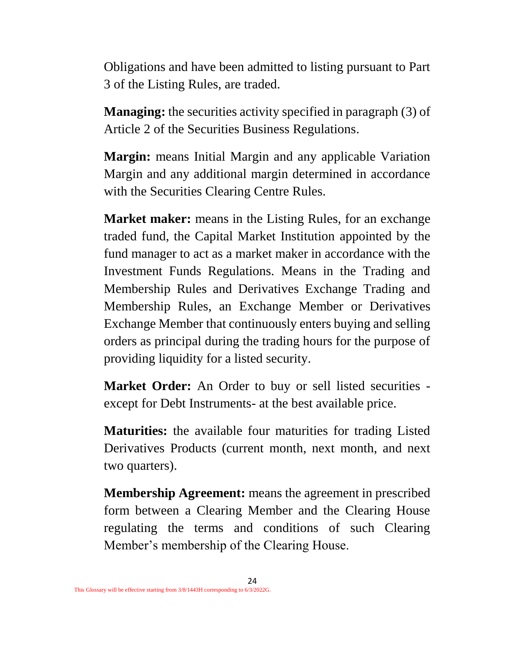Obligations and have been admitted to listing pursuant to Part 3 of the Listing Rules, are traded.

**Managing:** the securities activity specified in paragraph (3) of Article 2 of the Securities Business Regulations.

**Margin:** means Initial Margin and any applicable Variation Margin and any additional margin determined in accordance with the Securities Clearing Centre Rules.

**Market maker:** means in the Listing Rules, for an exchange traded fund, the Capital Market Institution appointed by the fund manager to act as a market maker in accordance with the Investment Funds Regulations. Means in the Trading and Membership Rules and Derivatives Exchange Trading and Membership Rules, an Exchange Member or Derivatives Exchange Member that continuously enters buying and selling orders as principal during the trading hours for the purpose of providing liquidity for a listed security.

**Market Order:** An Order to buy or sell listed securities except for Debt Instruments- at the best available price.

**Maturities:** the available four maturities for trading Listed Derivatives Products (current month, next month, and next two quarters).

**Membership Agreement:** means the agreement in prescribed form between a Clearing Member and the Clearing House regulating the terms and conditions of such Clearing Member's membership of the Clearing House.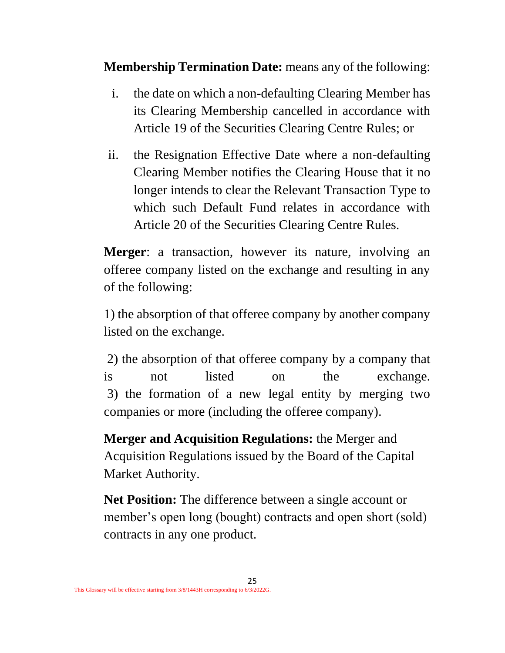**Membership Termination Date:** means any of the following:

- i. the date on which a non-defaulting Clearing Member has its Clearing Membership cancelled in accordance with Article 19 of the Securities Clearing Centre Rules; or
- ii. the Resignation Effective Date where a non-defaulting Clearing Member notifies the Clearing House that it no longer intends to clear the Relevant Transaction Type to which such Default Fund relates in accordance with Article 20 of the Securities Clearing Centre Rules.

**Merger**: a transaction, however its nature, involving an offeree company listed on the exchange and resulting in any of the following:

1) the absorption of that offeree company by another company listed on the exchange.

2) the absorption of that offeree company by a company that is not listed on the exchange. 3) the formation of a new legal entity by merging two companies or more (including the offeree company).

**Merger and Acquisition Regulations:** the Merger and Acquisition Regulations issued by the Board of the Capital Market Authority.

**Net Position:** The difference between a single account or member's open long (bought) contracts and open short (sold) contracts in any one product.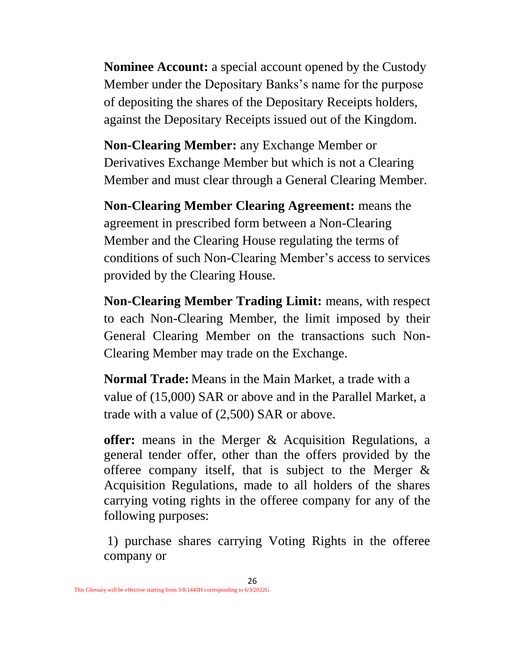**Nominee Account:** a special account opened by the Custody Member under the Depositary Banks's name for the purpose of depositing the shares of the Depositary Receipts holders, against the Depositary Receipts issued out of the Kingdom.

**Non-Clearing Member:** any Exchange Member or Derivatives Exchange Member but which is not a Clearing Member and must clear through a General Clearing Member.

**Non-Clearing Member Clearing Agreement:** means the agreement in prescribed form between a Non-Clearing Member and the Clearing House regulating the terms of conditions of such Non-Clearing Member's access to services provided by the Clearing House.

**Non-Clearing Member Trading Limit:** means, with respect to each Non-Clearing Member, the limit imposed by their General Clearing Member on the transactions such Non-Clearing Member may trade on the Exchange.

**Normal Trade:** Means in the Main Market, a trade with a value of (15,000) SAR or above and in the Parallel Market, a trade with a value of (2,500) SAR or above.

**offer:** means in the Merger & Acquisition Regulations, a general tender offer, other than the offers provided by the offeree company itself, that is subject to the Merger & Acquisition Regulations, made to all holders of the shares carrying voting rights in the offeree company for any of the following purposes:

1) purchase shares carrying Voting Rights in the offeree company or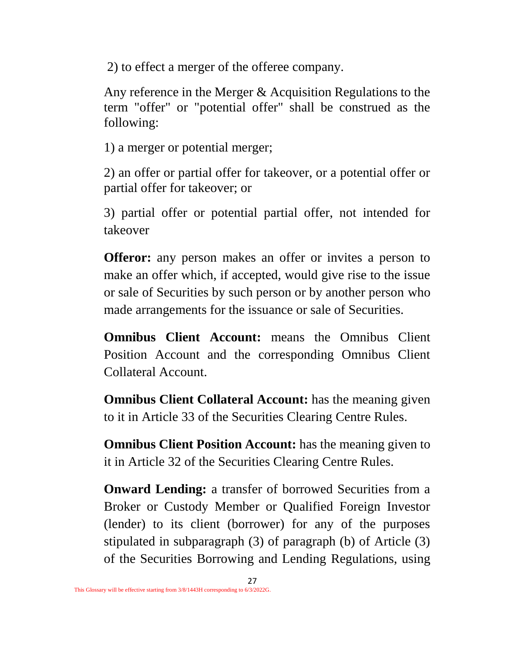2) to effect a merger of the offeree company.

Any reference in the Merger & Acquisition Regulations to the term "offer" or "potential offer" shall be construed as the following:

1) a merger or potential merger;

2) an offer or partial offer for takeover, or a potential offer or partial offer for takeover; or

3) partial offer or potential partial offer, not intended for takeover

**Offeror:** any person makes an offer or invites a person to make an offer which, if accepted, would give rise to the issue or sale of Securities by such person or by another person who made arrangements for the issuance or sale of Securities.

**Omnibus Client Account:** means the Omnibus Client Position Account and the corresponding Omnibus Client Collateral Account.

**Omnibus Client Collateral Account:** has the meaning given to it in Article 33 of the Securities Clearing Centre Rules.

**Omnibus Client Position Account:** has the meaning given to it in Article 32 of the Securities Clearing Centre Rules.

**Onward Lending:** a transfer of borrowed Securities from a Broker or Custody Member or Qualified Foreign Investor (lender) to its client (borrower) for any of the purposes stipulated in subparagraph (3) of paragraph (b) of Article (3) of the Securities Borrowing and Lending Regulations, using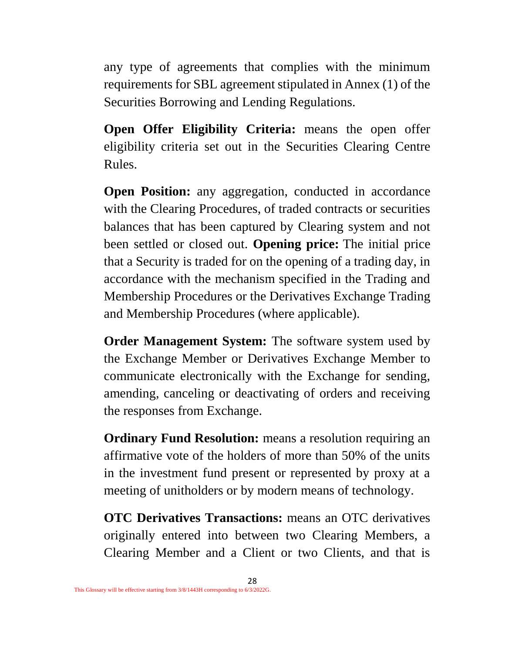any type of agreements that complies with the minimum requirements for SBL agreement stipulated in Annex (1) of the Securities Borrowing and Lending Regulations.

**Open Offer Eligibility Criteria:** means the open offer eligibility criteria set out in the Securities Clearing Centre Rules.

**Open Position:** any aggregation, conducted in accordance with the Clearing Procedures, of traded contracts or securities balances that has been captured by Clearing system and not been settled or closed out. **Opening price:** The initial price that a Security is traded for on the opening of a trading day, in accordance with the mechanism specified in the Trading and Membership Procedures or the Derivatives Exchange Trading and Membership Procedures (where applicable).

**Order Management System:** The software system used by the Exchange Member or Derivatives Exchange Member to communicate electronically with the Exchange for sending, amending, canceling or deactivating of orders and receiving the responses from Exchange.

**Ordinary Fund Resolution:** means a resolution requiring an affirmative vote of the holders of more than 50% of the units in the investment fund present or represented by proxy at a meeting of unitholders or by modern means of technology.

**OTC Derivatives Transactions:** means an OTC derivatives originally entered into between two Clearing Members, a Clearing Member and a Client or two Clients, and that is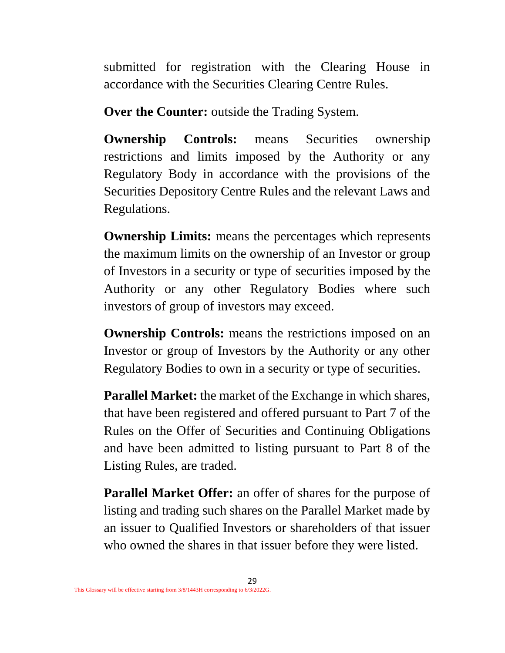submitted for registration with the Clearing House in accordance with the Securities Clearing Centre Rules.

**Over the Counter:** outside the Trading System.

**Ownership Controls:** means Securities ownership restrictions and limits imposed by the Authority or any Regulatory Body in accordance with the provisions of the Securities Depository Centre Rules and the relevant Laws and Regulations.

**Ownership Limits:** means the percentages which represents the maximum limits on the ownership of an Investor or group of Investors in a security or type of securities imposed by the Authority or any other Regulatory Bodies where such investors of group of investors may exceed.

**Ownership Controls:** means the restrictions imposed on an Investor or group of Investors by the Authority or any other Regulatory Bodies to own in a security or type of securities.

**Parallel Market:** the market of the Exchange in which shares, that have been registered and offered pursuant to Part 7 of the Rules on the Offer of Securities and Continuing Obligations and have been admitted to listing pursuant to Part 8 of the Listing Rules, are traded.

**Parallel Market Offer:** an offer of shares for the purpose of listing and trading such shares on the Parallel Market made by an issuer to Qualified Investors or shareholders of that issuer who owned the shares in that issuer before they were listed.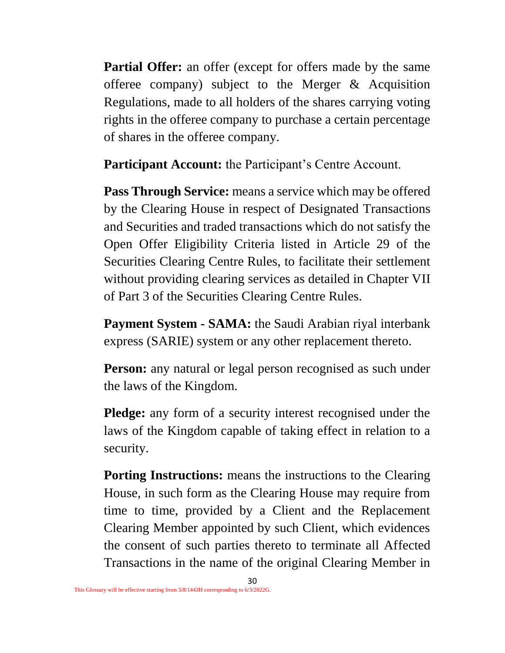**Partial Offer:** an offer (except for offers made by the same offeree company) subject to the Merger & Acquisition Regulations, made to all holders of the shares carrying voting rights in the offeree company to purchase a certain percentage of shares in the offeree company.

**Participant Account:** the Participant's Centre Account.

**Pass Through Service:** means a service which may be offered by the Clearing House in respect of Designated Transactions and Securities and traded transactions which do not satisfy the Open Offer Eligibility Criteria listed in Article 29 of the Securities Clearing Centre Rules, to facilitate their settlement without providing clearing services as detailed in Chapter VII of Part 3 of the Securities Clearing Centre Rules.

**Payment System - SAMA:** the Saudi Arabian riyal interbank express (SARIE) system or any other replacement thereto.

**Person:** any natural or legal person recognised as such under the laws of the Kingdom.

**Pledge:** any form of a security interest recognised under the laws of the Kingdom capable of taking effect in relation to a security.

**Porting Instructions:** means the instructions to the Clearing House, in such form as the Clearing House may require from time to time, provided by a Client and the Replacement Clearing Member appointed by such Client, which evidences the consent of such parties thereto to terminate all Affected Transactions in the name of the original Clearing Member in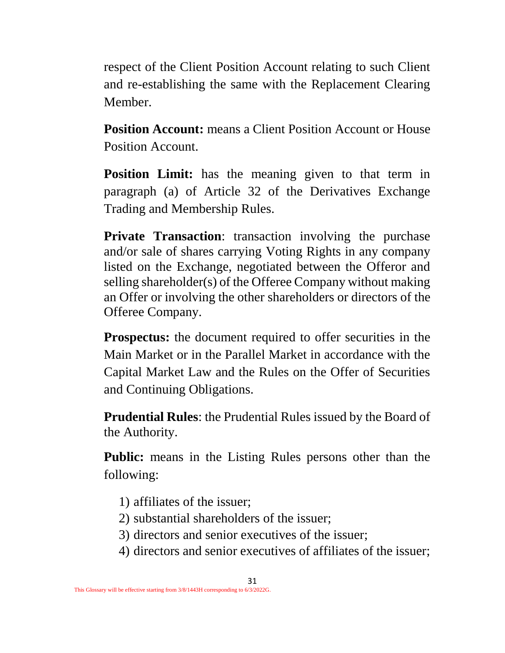respect of the Client Position Account relating to such Client and re-establishing the same with the Replacement Clearing Member.

**Position Account:** means a Client Position Account or House Position Account.

**Position Limit:** has the meaning given to that term in paragraph (a) of Article 32 of the Derivatives Exchange Trading and Membership Rules.

**Private Transaction:** transaction involving the purchase and/or sale of shares carrying Voting Rights in any company listed on the Exchange, negotiated between the Offeror and selling shareholder(s) of the Offeree Company without making an Offer or involving the other shareholders or directors of the Offeree Company.

**Prospectus:** the document required to offer securities in the Main Market or in the Parallel Market in accordance with the Capital Market Law and the Rules on the Offer of Securities and Continuing Obligations.

**Prudential Rules**: the Prudential Rules issued by the Board of the Authority.

**Public:** means in the Listing Rules persons other than the following:

- 1) affiliates of the issuer;
- 2) substantial shareholders of the issuer;
- 3) directors and senior executives of the issuer;
- 4) directors and senior executives of affiliates of the issuer;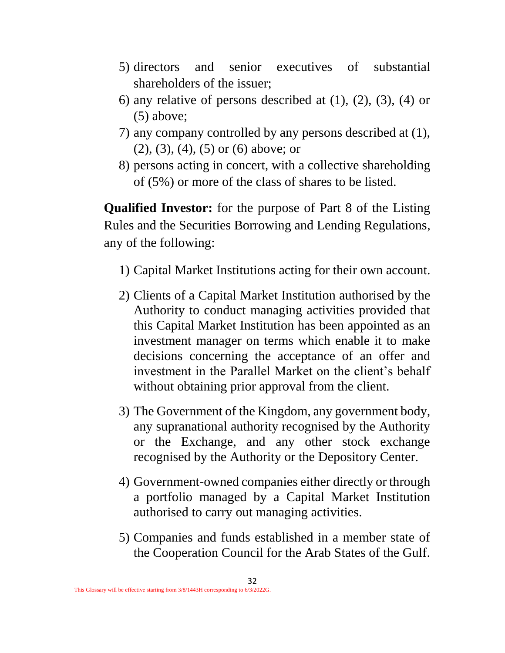- 5) directors and senior executives of substantial shareholders of the issuer;
- 6) any relative of persons described at  $(1)$ ,  $(2)$ ,  $(3)$ ,  $(4)$  or (5) above;
- 7) any company controlled by any persons described at (1), (2), (3), (4), (5) or (6) above; or
- 8) persons acting in concert, with a collective shareholding of (5%) or more of the class of shares to be listed.

**Qualified Investor:** for the purpose of Part 8 of the Listing Rules and the Securities Borrowing and Lending Regulations, any of the following:

- 1) Capital Market Institutions acting for their own account.
- 2) Clients of a Capital Market Institution authorised by the Authority to conduct managing activities provided that this Capital Market Institution has been appointed as an investment manager on terms which enable it to make decisions concerning the acceptance of an offer and investment in the Parallel Market on the client's behalf without obtaining prior approval from the client.
- 3) The Government of the Kingdom, any government body, any supranational authority recognised by the Authority or the Exchange, and any other stock exchange recognised by the Authority or the Depository Center.
- 4) Government-owned companies either directly or through a portfolio managed by a Capital Market Institution authorised to carry out managing activities.
- 5) Companies and funds established in a member state of the Cooperation Council for the Arab States of the Gulf.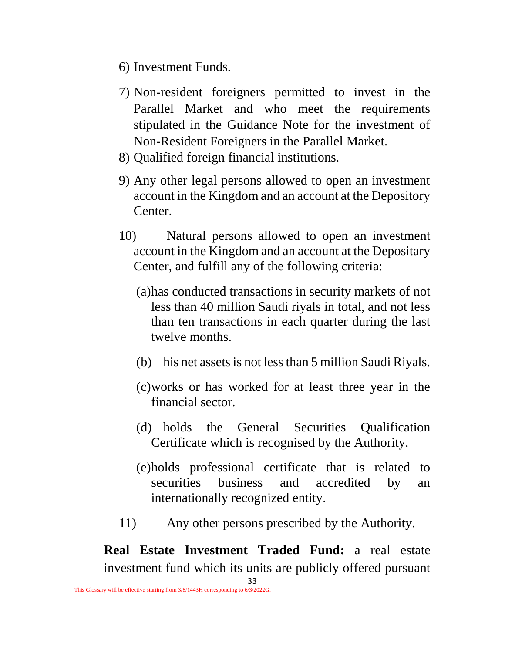- 6) Investment Funds.
- 7) Non-resident foreigners permitted to invest in the Parallel Market and who meet the requirements stipulated in the Guidance Note for the investment of Non-Resident Foreigners in the Parallel Market.
- 8) Qualified foreign financial institutions.
- 9) Any other legal persons allowed to open an investment account in the Kingdom and an account at the Depository Center.
- 10) Natural persons allowed to open an investment account in the Kingdom and an account at the Depositary Center, and fulfill any of the following criteria:
	- (a)has conducted transactions in security markets of not less than 40 million Saudi riyals in total, and not less than ten transactions in each quarter during the last twelve months.
	- (b) his net assets is not less than 5 million Saudi Riyals.
	- (c)works or has worked for at least three year in the financial sector.
	- (d) holds the General Securities Qualification Certificate which is recognised by the Authority.
	- (e)holds professional certificate that is related to securities business and accredited by an internationally recognized entity.
- 11) Any other persons prescribed by the Authority.

**Real Estate Investment Traded Fund:** a real estate investment fund which its units are publicly offered pursuant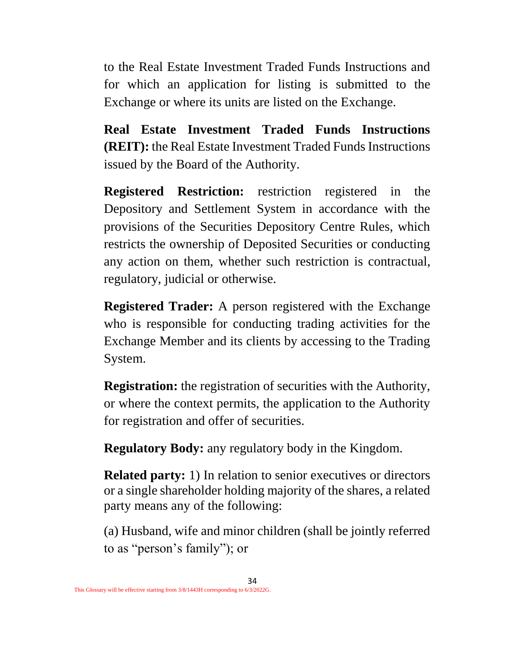to the Real Estate Investment Traded Funds Instructions and for which an application for listing is submitted to the Exchange or where its units are listed on the Exchange.

**Real Estate Investment Traded Funds Instructions (REIT):** the Real Estate Investment Traded Funds Instructions issued by the Board of the Authority.

**Registered Restriction:** restriction registered in the Depository and Settlement System in accordance with the provisions of the Securities Depository Centre Rules, which restricts the ownership of Deposited Securities or conducting any action on them, whether such restriction is contractual, regulatory, judicial or otherwise.

**Registered Trader:** A person registered with the Exchange who is responsible for conducting trading activities for the Exchange Member and its clients by accessing to the Trading System.

**Registration:** the registration of securities with the Authority, or where the context permits, the application to the Authority for registration and offer of securities.

**Regulatory Body:** any regulatory body in the Kingdom.

**Related party:** 1) In relation to senior executives or directors or a single shareholder holding majority of the shares, a related party means any of the following:

(a) Husband, wife and minor children (shall be jointly referred to as "person's family"); or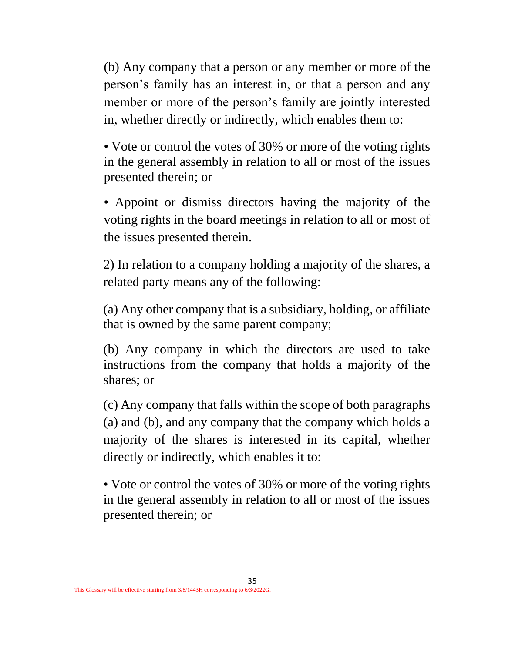(b) Any company that a person or any member or more of the person's family has an interest in, or that a person and any member or more of the person's family are jointly interested in, whether directly or indirectly, which enables them to:

• Vote or control the votes of 30% or more of the voting rights in the general assembly in relation to all or most of the issues presented therein; or

• Appoint or dismiss directors having the majority of the voting rights in the board meetings in relation to all or most of the issues presented therein.

2) In relation to a company holding a majority of the shares, a related party means any of the following:

(a) Any other company that is a subsidiary, holding, or affiliate that is owned by the same parent company;

(b) Any company in which the directors are used to take instructions from the company that holds a majority of the shares; or

(c) Any company that falls within the scope of both paragraphs (a) and (b), and any company that the company which holds a majority of the shares is interested in its capital, whether directly or indirectly, which enables it to:

• Vote or control the votes of 30% or more of the voting rights in the general assembly in relation to all or most of the issues presented therein; or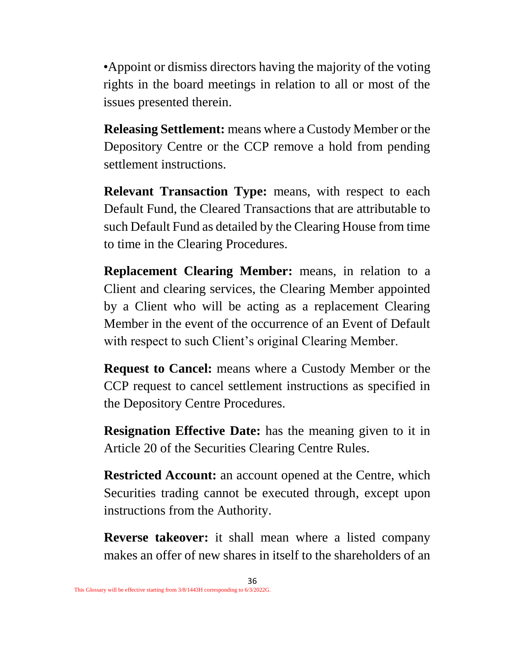•Appoint or dismiss directors having the majority of the voting rights in the board meetings in relation to all or most of the issues presented therein.

**Releasing Settlement:** means where a Custody Member or the Depository Centre or the CCP remove a hold from pending settlement instructions.

**Relevant Transaction Type:** means, with respect to each Default Fund, the Cleared Transactions that are attributable to such Default Fund as detailed by the Clearing House from time to time in the Clearing Procedures.

**Replacement Clearing Member:** means, in relation to a Client and clearing services, the Clearing Member appointed by a Client who will be acting as a replacement Clearing Member in the event of the occurrence of an Event of Default with respect to such Client's original Clearing Member.

**Request to Cancel:** means where a Custody Member or the CCP request to cancel settlement instructions as specified in the Depository Centre Procedures.

**Resignation Effective Date:** has the meaning given to it in Article 20 of the Securities Clearing Centre Rules.

**Restricted Account:** an account opened at the Centre, which Securities trading cannot be executed through, except upon instructions from the Authority.

**Reverse takeover:** it shall mean where a listed company makes an offer of new shares in itself to the shareholders of an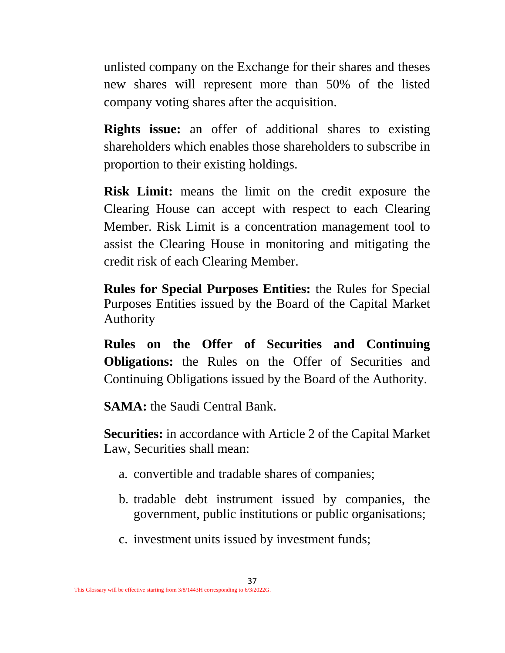unlisted company on the Exchange for their shares and theses new shares will represent more than 50% of the listed company voting shares after the acquisition.

**Rights issue:** an offer of additional shares to existing shareholders which enables those shareholders to subscribe in proportion to their existing holdings.

**Risk Limit:** means the limit on the credit exposure the Clearing House can accept with respect to each Clearing Member. Risk Limit is a concentration management tool to assist the Clearing House in monitoring and mitigating the credit risk of each Clearing Member.

**Rules for Special Purposes Entities:** the Rules for Special Purposes Entities issued by the Board of the Capital Market Authority

**Rules on the Offer of Securities and Continuing Obligations:** the Rules on the Offer of Securities and Continuing Obligations issued by the Board of the Authority.

**SAMA:** the Saudi Central Bank.

**Securities:** in accordance with Article 2 of the Capital Market Law, Securities shall mean:

- a. convertible and tradable shares of companies;
- b. tradable debt instrument issued by companies, the government, public institutions or public organisations;
- c. investment units issued by investment funds;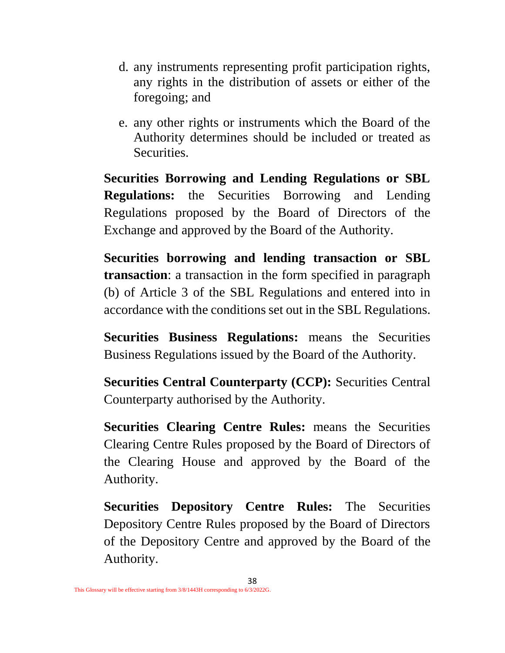- d. any instruments representing profit participation rights, any rights in the distribution of assets or either of the foregoing; and
- e. any other rights or instruments which the Board of the Authority determines should be included or treated as Securities.

**Securities Borrowing and Lending Regulations or SBL Regulations:** the Securities Borrowing and Lending Regulations proposed by the Board of Directors of the Exchange and approved by the Board of the Authority.

**Securities borrowing and lending transaction or SBL transaction**: a transaction in the form specified in paragraph (b) of Article 3 of the SBL Regulations and entered into in accordance with the conditions set out in the SBL Regulations.

**Securities Business Regulations:** means the Securities Business Regulations issued by the Board of the Authority.

**Securities Central Counterparty (CCP):** Securities Central Counterparty authorised by the Authority.

**Securities Clearing Centre Rules:** means the Securities Clearing Centre Rules proposed by the Board of Directors of the Clearing House and approved by the Board of the Authority.

**Securities Depository Centre Rules:** The Securities Depository Centre Rules proposed by the Board of Directors of the Depository Centre and approved by the Board of the Authority.

38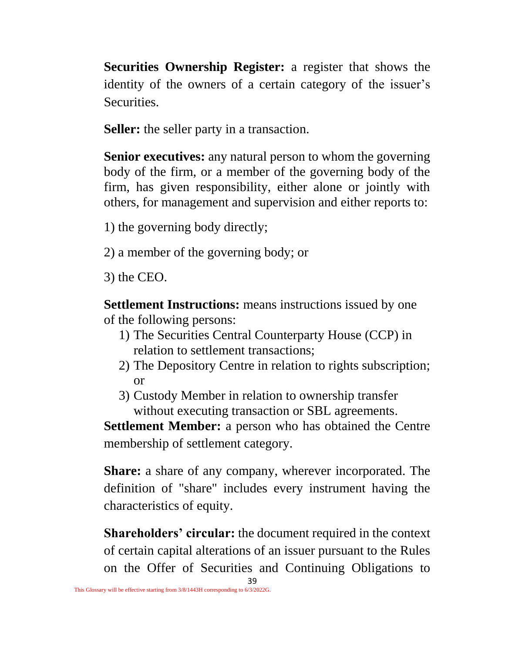**Securities Ownership Register:** a register that shows the identity of the owners of a certain category of the issuer's Securities.

**Seller:** the seller party in a transaction.

**Senior executives:** any natural person to whom the governing body of the firm, or a member of the governing body of the firm, has given responsibility, either alone or jointly with others, for management and supervision and either reports to:

1) the governing body directly;

2) a member of the governing body; or

3) the CEO.

**Settlement Instructions:** means instructions issued by one of the following persons:

- 1) The Securities Central Counterparty House (CCP) in relation to settlement transactions;
- 2) The Depository Centre in relation to rights subscription; or
- 3) Custody Member in relation to ownership transfer without executing transaction or SBL agreements.

**Settlement Member:** a person who has obtained the Centre membership of settlement category.

**Share:** a share of any company, wherever incorporated. The definition of "share" includes every instrument having the characteristics of equity.

**Shareholders' circular:** the document required in the context of certain capital alterations of an issuer pursuant to the Rules on the Offer of Securities and Continuing Obligations to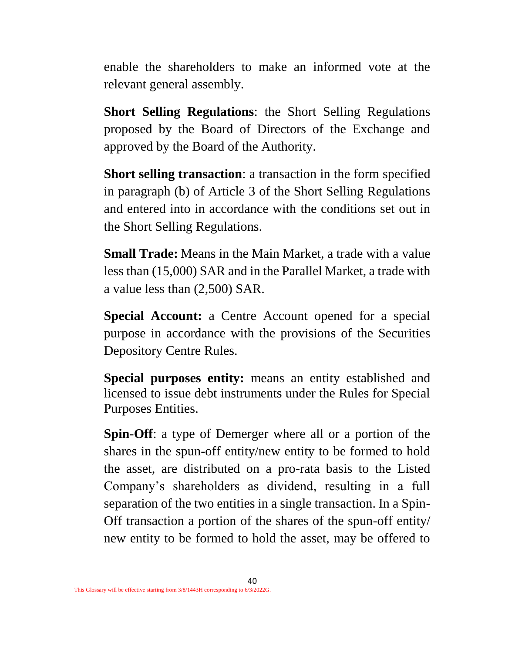enable the shareholders to make an informed vote at the relevant general assembly.

**Short Selling Regulations**: the Short Selling Regulations proposed by the Board of Directors of the Exchange and approved by the Board of the Authority.

**Short selling transaction**: a transaction in the form specified in paragraph (b) of Article 3 of the Short Selling Regulations and entered into in accordance with the conditions set out in the Short Selling Regulations.

**Small Trade:** Means in the Main Market, a trade with a value less than (15,000) SAR and in the Parallel Market, a trade with a value less than (2,500) SAR.

**Special Account:** a Centre Account opened for a special purpose in accordance with the provisions of the Securities Depository Centre Rules.

**Special purposes entity:** means an entity established and licensed to issue debt instruments under the Rules for Special Purposes Entities.

**Spin-Off**: a type of Demerger where all or a portion of the shares in the spun-off entity/new entity to be formed to hold the asset, are distributed on a pro-rata basis to the Listed Company's shareholders as dividend, resulting in a full separation of the two entities in a single transaction. In a Spin-Off transaction a portion of the shares of the spun-off entity/ new entity to be formed to hold the asset, may be offered to

40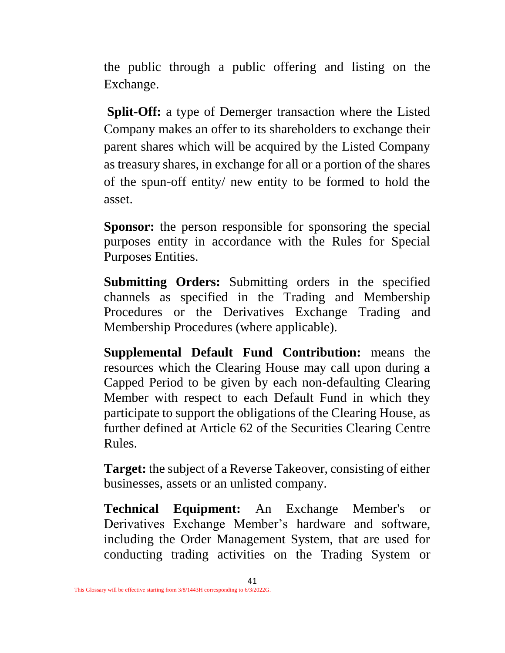the public through a public offering and listing on the Exchange.

**Split-Off:** a type of Demerger transaction where the Listed Company makes an offer to its shareholders to exchange their parent shares which will be acquired by the Listed Company as treasury shares, in exchange for all or a portion of the shares of the spun-off entity/ new entity to be formed to hold the asset.

**Sponsor:** the person responsible for sponsoring the special purposes entity in accordance with the Rules for Special Purposes Entities.

**Submitting Orders:** Submitting orders in the specified channels as specified in the Trading and Membership Procedures or the Derivatives Exchange Trading and Membership Procedures (where applicable).

**Supplemental Default Fund Contribution:** means the resources which the Clearing House may call upon during a Capped Period to be given by each non-defaulting Clearing Member with respect to each Default Fund in which they participate to support the obligations of the Clearing House, as further defined at Article 62 of the Securities Clearing Centre Rules.

**Target:** the subject of a Reverse Takeover, consisting of either businesses, assets or an unlisted company.

**Technical Equipment:** An Exchange Member's or Derivatives Exchange Member's hardware and software, including the Order Management System, that are used for conducting trading activities on the Trading System or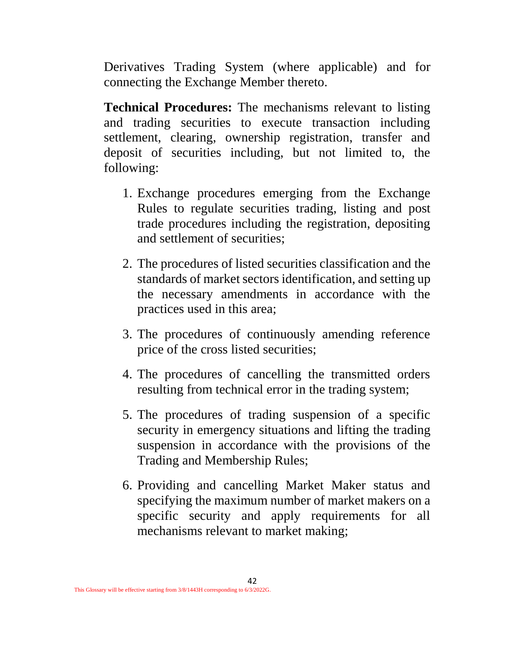Derivatives Trading System (where applicable) and for connecting the Exchange Member thereto.

**Technical Procedures:** The mechanisms relevant to listing and trading securities to execute transaction including settlement, clearing, ownership registration, transfer and deposit of securities including, but not limited to, the following:

- 1. Exchange procedures emerging from the Exchange Rules to regulate securities trading, listing and post trade procedures including the registration, depositing and settlement of securities;
- 2. The procedures of listed securities classification and the standards of market sectors identification, and setting up the necessary amendments in accordance with the practices used in this area;
- 3. The procedures of continuously amending reference price of the cross listed securities;
- 4. The procedures of cancelling the transmitted orders resulting from technical error in the trading system;
- 5. The procedures of trading suspension of a specific security in emergency situations and lifting the trading suspension in accordance with the provisions of the Trading and Membership Rules;
- 6. Providing and cancelling Market Maker status and specifying the maximum number of market makers on a specific security and apply requirements for all mechanisms relevant to market making;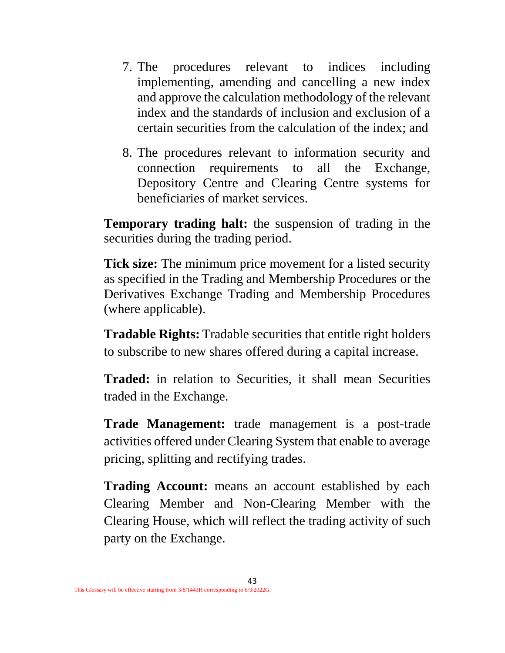- 7. The procedures relevant to indices including implementing, amending and cancelling a new index and approve the calculation methodology of the relevant index and the standards of inclusion and exclusion of a certain securities from the calculation of the index; and
- 8. The procedures relevant to information security and connection requirements to all the Exchange, Depository Centre and Clearing Centre systems for beneficiaries of market services.

**Temporary trading halt:** the suspension of trading in the securities during the trading period.

**Tick size:** The minimum price movement for a listed security as specified in the Trading and Membership Procedures or the Derivatives Exchange Trading and Membership Procedures (where applicable).

**Tradable Rights:** Tradable securities that entitle right holders to subscribe to new shares offered during a capital increase.

**Traded:** in relation to Securities, it shall mean Securities traded in the Exchange.

**Trade Management:** trade management is a post-trade activities offered under Clearing System that enable to average pricing, splitting and rectifying trades.

**Trading Account:** means an account established by each Clearing Member and Non-Clearing Member with the Clearing House, which will reflect the trading activity of such party on the Exchange.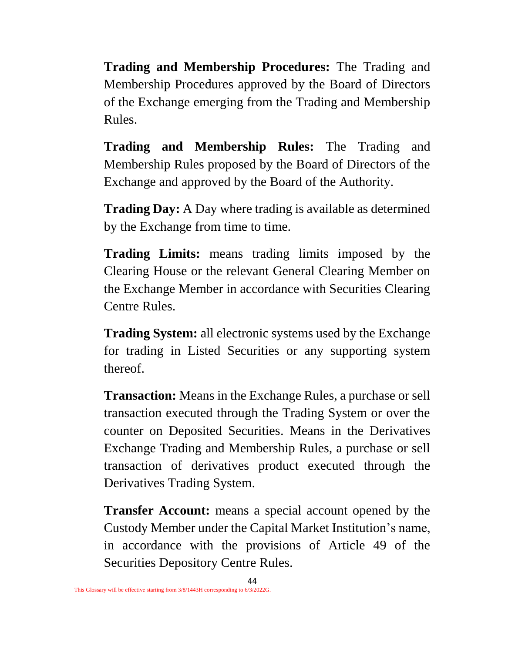**Trading and Membership Procedures:** The Trading and Membership Procedures approved by the Board of Directors of the Exchange emerging from the Trading and Membership Rules.

**Trading and Membership Rules:** The Trading and Membership Rules proposed by the Board of Directors of the Exchange and approved by the Board of the Authority.

**Trading Day:** A Day where trading is available as determined by the Exchange from time to time.

**Trading Limits:** means trading limits imposed by the Clearing House or the relevant General Clearing Member on the Exchange Member in accordance with Securities Clearing Centre Rules.

**Trading System:** all electronic systems used by the Exchange for trading in Listed Securities or any supporting system thereof.

**Transaction:** Means in the Exchange Rules, a purchase or sell transaction executed through the Trading System or over the counter on Deposited Securities. Means in the Derivatives Exchange Trading and Membership Rules, a purchase or sell transaction of derivatives product executed through the Derivatives Trading System.

**Transfer Account:** means a special account opened by the Custody Member under the Capital Market Institution's name, in accordance with the provisions of Article 49 of the Securities Depository Centre Rules.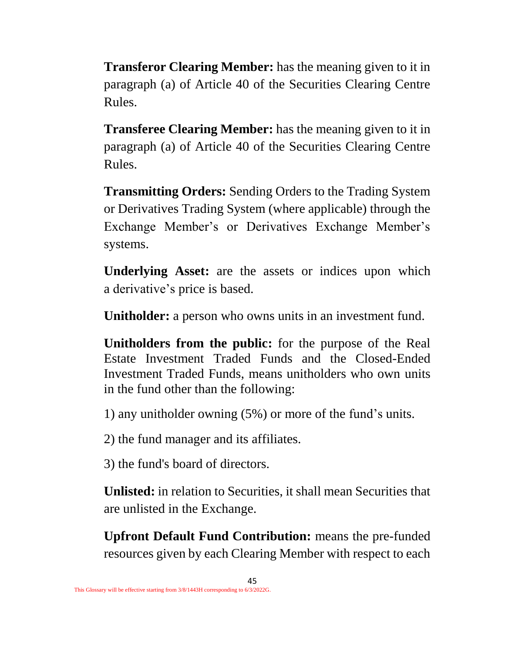**Transferor Clearing Member:** has the meaning given to it in paragraph (a) of Article 40 of the Securities Clearing Centre Rules.

**Transferee Clearing Member:** has the meaning given to it in paragraph (a) of Article 40 of the Securities Clearing Centre Rules.

**Transmitting Orders:** Sending Orders to the Trading System or Derivatives Trading System (where applicable) through the Exchange Member's or Derivatives Exchange Member's systems.

**Underlying Asset:** are the assets or indices upon which a derivative's price is based.

**Unitholder:** a person who owns units in an investment fund.

**Unitholders from the public:** for the purpose of the Real Estate Investment Traded Funds and the Closed-Ended Investment Traded Funds, means unitholders who own units in the fund other than the following:

1) any unitholder owning (5%) or more of the fund's units.

2) the fund manager and its affiliates.

3) the fund's board of directors.

**Unlisted:** in relation to Securities, it shall mean Securities that are unlisted in the Exchange.

**Upfront Default Fund Contribution:** means the pre-funded resources given by each Clearing Member with respect to each